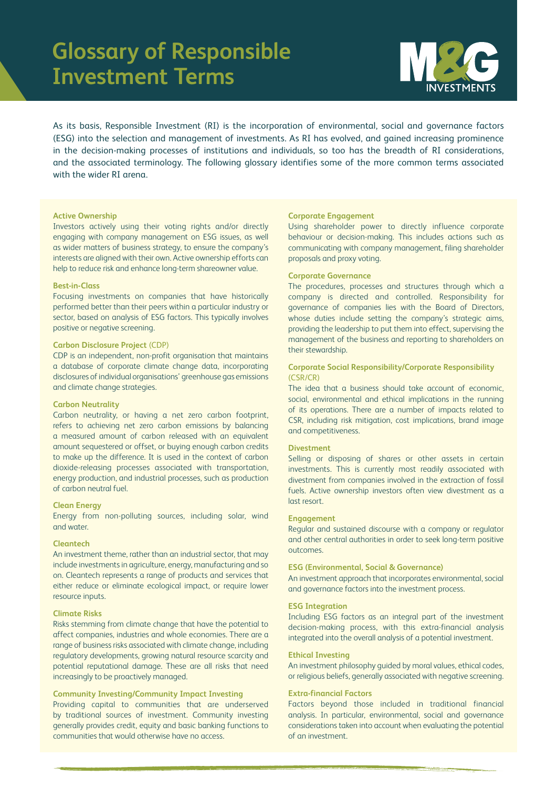## **Glossary of Responsible Investment Terms**



As its basis, Responsible Investment (RI) is the incorporation of environmental, social and governance factors (ESG) into the selection and management of investments. As RI has evolved, and gained increasing prominence in the decision-making processes of institutions and individuals, so too has the breadth of RI considerations, and the associated terminology. The following glossary identifies some of the more common terms associated with the wider RI arena.

#### **Active Ownership**

Investors actively using their voting rights and/or directly engaging with company management on ESG issues, as well as wider matters of business strategy, to ensure the company's interests are aligned with their own. Active ownership efforts can help to reduce risk and enhance long-term shareowner value.

## **Best-in-Class**

Focusing investments on companies that have historically performed better than their peers within a particular industry or sector, based on analysis of ESG factors. This typically involves positive or negative screening.

## **Carbon Disclosure Project** (CDP)

CDP is an independent, non-profit organisation that maintains a database of corporate climate change data, incorporating disclosures of individual organisations' greenhouse gas emissions and climate change strategies.

#### **Carbon Neutrality**

Carbon neutrality, or having a net zero carbon footprint, refers to achieving net zero carbon emissions by balancing a measured amount of carbon released with an equivalent amount sequestered or offset, or buying enough carbon credits to make up the difference. It is used in the context of carbon dioxide-releasing processes associated with transportation, energy production, and industrial processes, such as production of carbon neutral fuel.

## **Clean Energy**

Energy from non-polluting sources, including solar, wind and water.

#### **Cleantech**

An investment theme, rather than an industrial sector, that may include investments in agriculture, energy, manufacturing and so on. Cleantech represents a range of products and services that either reduce or eliminate ecological impact, or require lower resource inputs.

#### **Climate Risks**

Risks stemming from climate change that have the potential to affect companies, industries and whole economies. There are a range of business risks associated with climate change, including regulatory developments, growing natural resource scarcity and potential reputational damage. These are all risks that need increasingly to be proactively managed.

## **Community Investing/Community Impact Investing**

Providing capital to communities that are underserved by traditional sources of investment. Community investing generally provides credit, equity and basic banking functions to communities that would otherwise have no access.

#### **Corporate Engagement**

Using shareholder power to directly influence corporate behaviour or decision-making. This includes actions such as communicating with company management, filing shareholder proposals and proxy voting.

## **Corporate Governance**

The procedures, processes and structures through which a company is directed and controlled. Responsibility for governance of companies lies with the Board of Directors, whose duties include setting the company's strategic aims, providing the leadership to put them into effect, supervising the management of the business and reporting to shareholders on their stewardship.

## **Corporate Social Responsibility/Corporate Responsibility**  (CSR/CR)

The idea that a business should take account of economic, social, environmental and ethical implications in the running of its operations. There are a number of impacts related to CSR, including risk mitigation, cost implications, brand image and competitiveness.

#### **Divestment**

Selling or disposing of shares or other assets in certain investments. This is currently most readily associated with divestment from companies involved in the extraction of fossil fuels. Active ownership investors often view divestment as a last resort.

#### **Engagement**

Regular and sustained discourse with a company or regulator and other central authorities in order to seek long-term positive outcomes.

## **ESG (Environmental, Social & Governance)** An investment approach that incorporates environmental, social

and governance factors into the investment process.

#### **ESG Integration**

Including ESG factors as an integral part of the investment decision-making process, with this extra-financial analysis integrated into the overall analysis of a potential investment.

#### **Ethical Investing**

An investment philosophy guided by moral values, ethical codes, or religious beliefs, generally associated with negative screening.

## **Extra-financial Factors**

Factors beyond those included in traditional financial analysis. In particular, environmental, social and governance considerations taken into account when evaluating the potential of an investment.